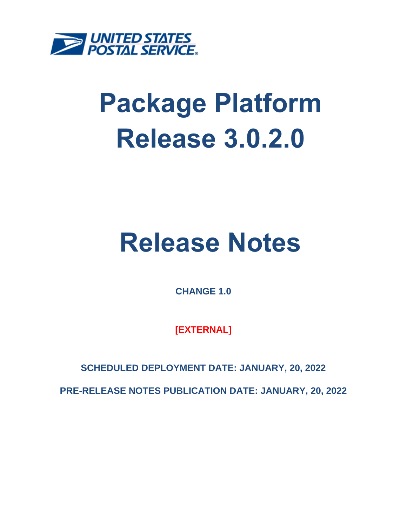

# **Package Platform Release 3.0.2.0**

# **Release Notes**

**CHANGE 1.0**

**[EXTERNAL]**

**SCHEDULED DEPLOYMENT DATE: JANUARY, 20, 2022**

**PRE-RELEASE NOTES PUBLICATION DATE: JANUARY, 20, 2022**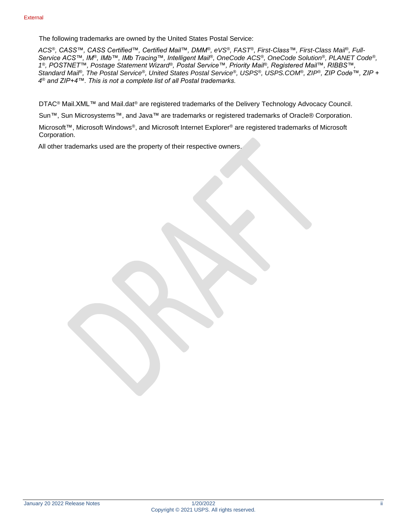The following trademarks are owned by the United States Postal Service:

*ACS®, CASS™, CASS Certified™, Certified Mail™, DMM®, eVS®, FAST®, First-Class™, First-Class Mail®, Full-Service ACS™, IM®, IMb™, IMb Tracing™, Intelligent Mail®, OneCode ACS®, OneCode Solution®, PLANET Code®, 1 ®, POSTNET™, Postage Statement Wizard®, Postal Service™, Priority Mail®, Registered Mail™, RIBBS™, Standard Mail®, The Postal Service®, United States Postal Service®, USPS®, USPS.COM®, ZIP®, ZIP Code™, ZIP + 4 ® and ZIP+4™. This is not a complete list of all Postal trademarks.*

DTAC® Mail.XML™ and Mail.dat® are registered trademarks of the Delivery Technology Advocacy Council.

Sun™, Sun Microsystems™, and Java™ are trademarks or registered trademarks of Oracle® Corporation.

Microsoft™, Microsoft Windows®, and Microsoft Internet Explorer® are registered trademarks of Microsoft Corporation.

All other trademarks used are the property of their respective owners.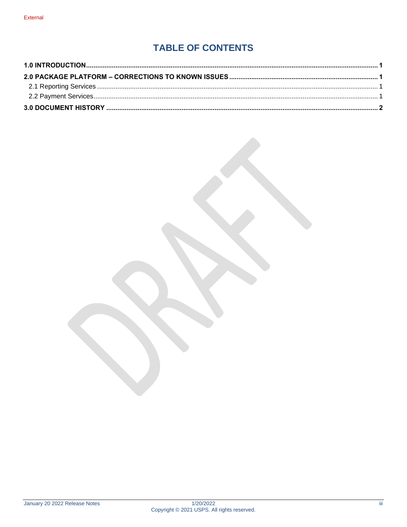## **TABLE OF CONTENTS**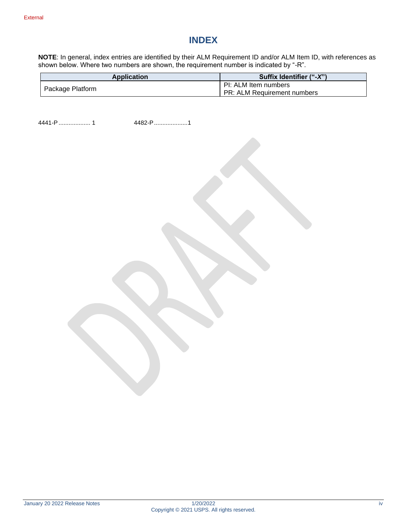#### **INDEX**

**NOTE**: In general, index entries are identified by their ALM Requirement ID and/or ALM Item ID, with references as shown below. Where two numbers are shown, the requirement number is indicated by "-R".

| <b>Application</b> | Suffix Identifier ("-X")                                   |
|--------------------|------------------------------------------------------------|
| Package Platform   | PI: ALM Item numbers<br><b>PR: ALM Requirement numbers</b> |

4441-P................... 1 4482-P....................1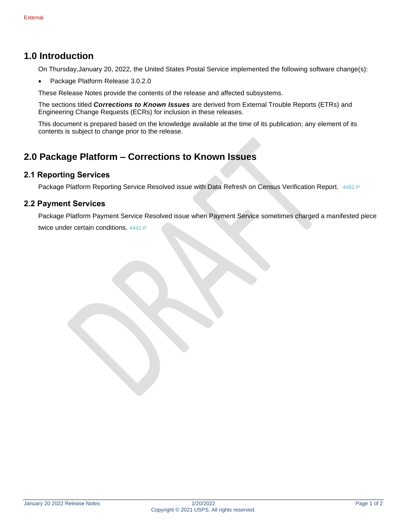#### <span id="page-4-0"></span>**1.0 Introduction**

On Thursday,January 20, 2022, the United States Postal Service implemented the following software change(s):

• Package Platform Release 3.0.2.0

These Release Notes provide the contents of the release and affected subsystems.

The sections titled *Corrections to Known Issues* are derived from External Trouble Reports (ETRs) and Engineering Change Requests (ECRs) for inclusion in these releases.

This document is prepared based on the knowledge available at the time of its publication; any element of its contents is subject to change prior to the release.

#### <span id="page-4-1"></span>**2.0 Package Platform – Corrections to Known Issues**

#### <span id="page-4-2"></span>**2.1 Reporting Services**

Package Platform Reporting Service Resolved issue with Data Refresh on Census Verification Report. 4482-P

#### <span id="page-4-3"></span>**2.2 Payment Services**

Package Platform Payment Service Resolved issue when Payment Service sometimes charged a manifested piece twice under certain conditions. 4441-P